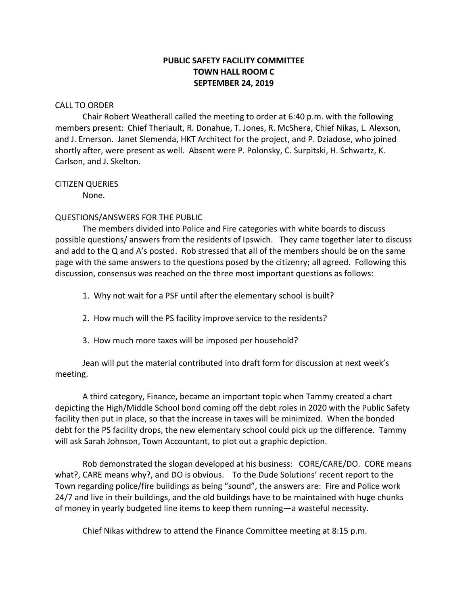# **PUBLIC SAFETY FACILITY COMMITTEE TOWN HALL ROOM C SEPTEMBER 24, 2019**

### CALL TO ORDER

Chair Robert Weatherall called the meeting to order at 6:40 p.m. with the following members present: Chief Theriault, R. Donahue, T. Jones, R. McShera, Chief Nikas, L. Alexson, and J. Emerson. Janet Slemenda, HKT Architect for the project, and P. Dziadose, who joined shortly after, were present as well. Absent were P. Polonsky, C. Surpitski, H. Schwartz, K. Carlson, and J. Skelton.

### CITIZEN QUERIES

None.

## QUESTIONS/ANSWERS FOR THE PUBLIC

The members divided into Police and Fire categories with white boards to discuss possible questions/ answers from the residents of Ipswich. They came together later to discuss and add to the Q and A's posted. Rob stressed that all of the members should be on the same page with the same answers to the questions posed by the citizenry; all agreed. Following this discussion, consensus was reached on the three most important questions as follows:

- 1. Why not wait for a PSF until after the elementary school is built?
- 2. How much will the PS facility improve service to the residents?
- 3. How much more taxes will be imposed per household?

Jean will put the material contributed into draft form for discussion at next week's meeting.

A third category, Finance, became an important topic when Tammy created a chart depicting the High/Middle School bond coming off the debt roles in 2020 with the Public Safety facility then put in place, so that the increase in taxes will be minimized. When the bonded debt for the PS facility drops, the new elementary school could pick up the difference. Tammy will ask Sarah Johnson, Town Accountant, to plot out a graphic depiction.

Rob demonstrated the slogan developed at his business: CORE/CARE/DO. CORE means what?, CARE means why?, and DO is obvious. To the Dude Solutions' recent report to the Town regarding police/fire buildings as being "sound", the answers are: Fire and Police work 24/7 and live in their buildings, and the old buildings have to be maintained with huge chunks of money in yearly budgeted line items to keep them running—a wasteful necessity.

Chief Nikas withdrew to attend the Finance Committee meeting at 8:15 p.m.